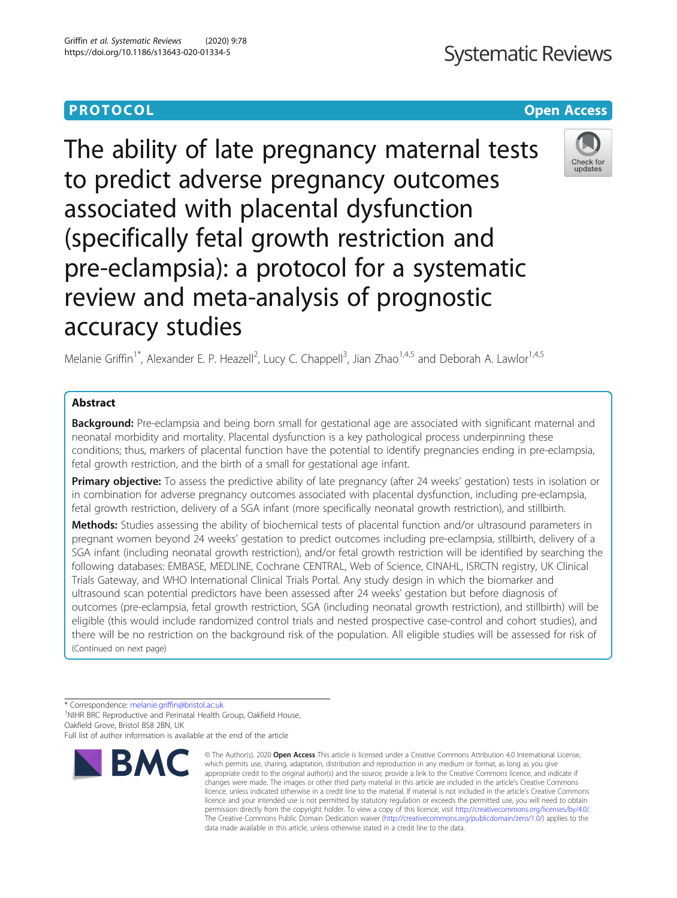The ability of late pregnancy maternal tests to predict adverse pregnancy outcomes associated with placental dysfunction (specifically fetal growth restriction and pre-eclampsia): a protocol for a systematic review and meta-analysis of prognostic accuracy studies

Melanie Griffin<sup>1\*</sup>, Alexander E. P. Heazell<sup>2</sup>, Lucy C. Chappell<sup>3</sup>, Jian Zhao<sup>1,4,5</sup> and Deborah A. Lawlor<sup>1,4,5</sup>

# Abstract

**Background:** Pre-eclampsia and being born small for gestational age are associated with significant maternal and neonatal morbidity and mortality. Placental dysfunction is a key pathological process underpinning these conditions; thus, markers of placental function have the potential to identify pregnancies ending in pre-eclampsia, fetal growth restriction, and the birth of a small for gestational age infant.

**Primary objective:** To assess the predictive ability of late pregnancy (after 24 weeks' gestation) tests in isolation or in combination for adverse pregnancy outcomes associated with placental dysfunction, including pre-eclampsia, fetal growth restriction, delivery of a SGA infant (more specifically neonatal growth restriction), and stillbirth.

Methods: Studies assessing the ability of biochemical tests of placental function and/or ultrasound parameters in pregnant women beyond 24 weeks' gestation to predict outcomes including pre-eclampsia, stillbirth, delivery of a SGA infant (including neonatal growth restriction), and/or fetal growth restriction will be identified by searching the following databases: EMBASE, MEDLINE, Cochrane CENTRAL, Web of Science, CINAHL, ISRCTN registry, UK Clinical Trials Gateway, and WHO International Clinical Trials Portal. Any study design in which the biomarker and ultrasound scan potential predictors have been assessed after 24 weeks' gestation but before diagnosis of outcomes (pre-eclampsia, fetal growth restriction, SGA (including neonatal growth restriction), and stillbirth) will be eligible (this would include randomized control trials and nested prospective case-control and cohort studies), and there will be no restriction on the background risk of the population. All eligible studies will be assessed for risk of (Continued on next page)

\* Correspondence: [melanie.griffin@bristol.ac.uk](mailto:melanie.griffin@bristol.ac.uk) <sup>1</sup>

<sup>1</sup>NIHR BRC Reproductive and Perinatal Health Group, Oakfield House, Oakfield Grove, Bristol BS8 2BN, UK

Full list of author information is available at the end of the article







<sup>©</sup> The Author(s), 2020 **Open Access** This article is licensed under a Creative Commons Attribution 4.0 International License, which permits use, sharing, adaptation, distribution and reproduction in any medium or format, as long as you give appropriate credit to the original author(s) and the source, provide a link to the Creative Commons licence, and indicate if changes were made. The images or other third party material in this article are included in the article's Creative Commons licence, unless indicated otherwise in a credit line to the material. If material is not included in the article's Creative Commons licence and your intended use is not permitted by statutory regulation or exceeds the permitted use, you will need to obtain permission directly from the copyright holder. To view a copy of this licence, visit [http://creativecommons.org/licenses/by/4.0/.](http://creativecommons.org/licenses/by/4.0/) The Creative Commons Public Domain Dedication waiver [\(http://creativecommons.org/publicdomain/zero/1.0/](http://creativecommons.org/publicdomain/zero/1.0/)) applies to the data made available in this article, unless otherwise stated in a credit line to the data.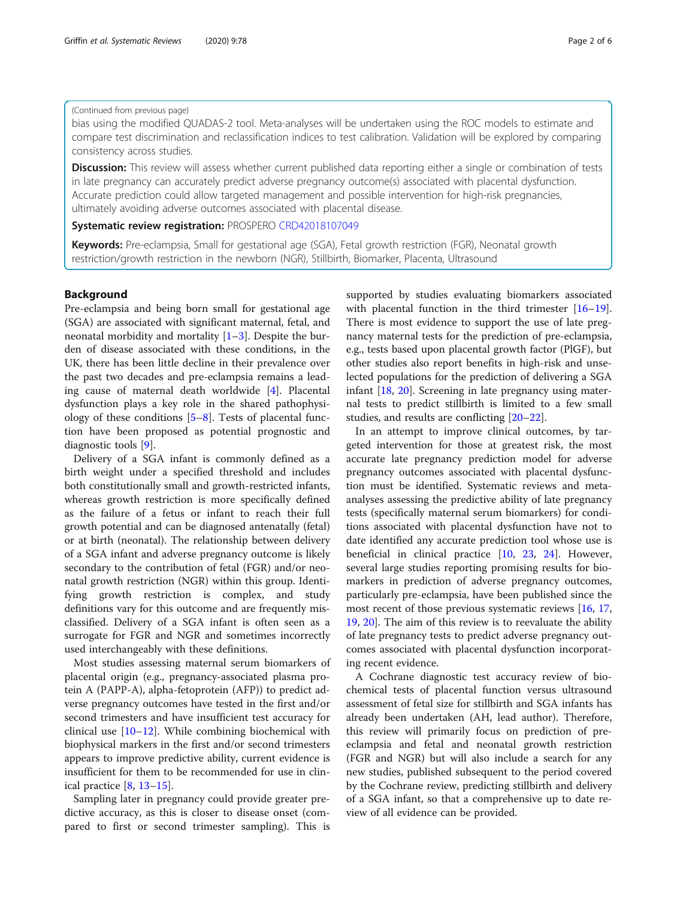## (Continued from previous page)

bias using the modified QUADAS-2 tool. Meta-analyses will be undertaken using the ROC models to estimate and compare test discrimination and reclassification indices to test calibration. Validation will be explored by comparing consistency across studies.

Discussion: This review will assess whether current published data reporting either a single or combination of tests in late pregnancy can accurately predict adverse pregnancy outcome(s) associated with placental dysfunction. Accurate prediction could allow targeted management and possible intervention for high-risk pregnancies, ultimately avoiding adverse outcomes associated with placental disease.

## Systematic review registration: PROSPERO [CRD42018107049](https://www.crd.york.ac.uk/PROSPERO/display_record.php?RecordID=107049)

Keywords: Pre-eclampsia, Small for gestational age (SGA), Fetal growth restriction (FGR), Neonatal growth restriction/growth restriction in the newborn (NGR), Stillbirth, Biomarker, Placenta, Ultrasound

# Background

Pre-eclampsia and being born small for gestational age (SGA) are associated with significant maternal, fetal, and neonatal morbidity and mortality  $[1-3]$  $[1-3]$  $[1-3]$ . Despite the burden of disease associated with these conditions, in the UK, there has been little decline in their prevalence over the past two decades and pre-eclampsia remains a leading cause of maternal death worldwide [[4\]](#page-5-0). Placental dysfunction plays a key role in the shared pathophysiology of these conditions  $[5-8]$  $[5-8]$  $[5-8]$  $[5-8]$  $[5-8]$ . Tests of placental function have been proposed as potential prognostic and diagnostic tools [[9\]](#page-5-0).

Delivery of a SGA infant is commonly defined as a birth weight under a specified threshold and includes both constitutionally small and growth-restricted infants, whereas growth restriction is more specifically defined as the failure of a fetus or infant to reach their full growth potential and can be diagnosed antenatally (fetal) or at birth (neonatal). The relationship between delivery of a SGA infant and adverse pregnancy outcome is likely secondary to the contribution of fetal (FGR) and/or neonatal growth restriction (NGR) within this group. Identifying growth restriction is complex, and study definitions vary for this outcome and are frequently misclassified. Delivery of a SGA infant is often seen as a surrogate for FGR and NGR and sometimes incorrectly used interchangeably with these definitions.

Most studies assessing maternal serum biomarkers of placental origin (e.g., pregnancy-associated plasma protein A (PAPP-A), alpha-fetoprotein (AFP)) to predict adverse pregnancy outcomes have tested in the first and/or second trimesters and have insufficient test accuracy for clinical use [[10](#page-5-0)–[12](#page-5-0)]. While combining biochemical with biophysical markers in the first and/or second trimesters appears to improve predictive ability, current evidence is insufficient for them to be recommended for use in clinical practice [[8,](#page-5-0) [13](#page-5-0)–[15](#page-5-0)].

Sampling later in pregnancy could provide greater predictive accuracy, as this is closer to disease onset (compared to first or second trimester sampling). This is supported by studies evaluating biomarkers associated with placental function in the third trimester [[16](#page-5-0)–[19](#page-5-0)]. There is most evidence to support the use of late pregnancy maternal tests for the prediction of pre-eclampsia, e.g., tests based upon placental growth factor (PlGF), but other studies also report benefits in high-risk and unselected populations for the prediction of delivering a SGA infant [[18,](#page-5-0) [20\]](#page-5-0). Screening in late pregnancy using maternal tests to predict stillbirth is limited to a few small studies, and results are conflicting [\[20](#page-5-0)–[22\]](#page-5-0).

In an attempt to improve clinical outcomes, by targeted intervention for those at greatest risk, the most accurate late pregnancy prediction model for adverse pregnancy outcomes associated with placental dysfunction must be identified. Systematic reviews and metaanalyses assessing the predictive ability of late pregnancy tests (specifically maternal serum biomarkers) for conditions associated with placental dysfunction have not to date identified any accurate prediction tool whose use is beneficial in clinical practice [\[10](#page-5-0), [23,](#page-5-0) [24](#page-5-0)]. However, several large studies reporting promising results for biomarkers in prediction of adverse pregnancy outcomes, particularly pre-eclampsia, have been published since the most recent of those previous systematic reviews [[16](#page-5-0), [17](#page-5-0), [19,](#page-5-0) [20](#page-5-0)]. The aim of this review is to reevaluate the ability of late pregnancy tests to predict adverse pregnancy outcomes associated with placental dysfunction incorporating recent evidence.

A Cochrane diagnostic test accuracy review of biochemical tests of placental function versus ultrasound assessment of fetal size for stillbirth and SGA infants has already been undertaken (AH, lead author). Therefore, this review will primarily focus on prediction of preeclampsia and fetal and neonatal growth restriction (FGR and NGR) but will also include a search for any new studies, published subsequent to the period covered by the Cochrane review, predicting stillbirth and delivery of a SGA infant, so that a comprehensive up to date review of all evidence can be provided.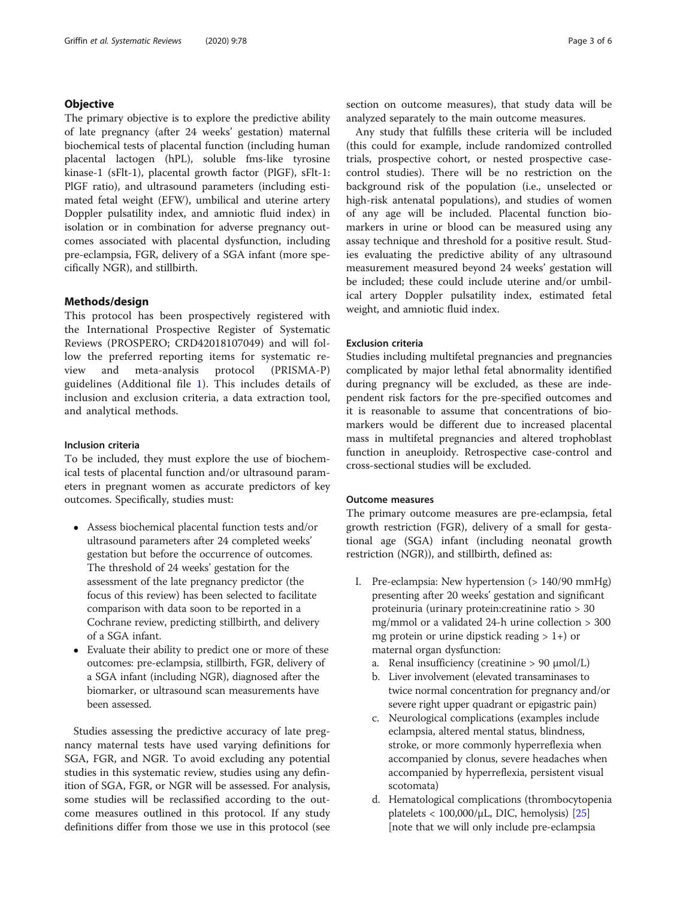# **Objective**

The primary objective is to explore the predictive ability of late pregnancy (after 24 weeks' gestation) maternal biochemical tests of placental function (including human placental lactogen (hPL), soluble fms-like tyrosine kinase-1 (sFlt-1), placental growth factor (PlGF), sFlt-1: PlGF ratio), and ultrasound parameters (including estimated fetal weight (EFW), umbilical and uterine artery Doppler pulsatility index, and amniotic fluid index) in isolation or in combination for adverse pregnancy outcomes associated with placental dysfunction, including pre-eclampsia, FGR, delivery of a SGA infant (more specifically NGR), and stillbirth.

# Methods/design

This protocol has been prospectively registered with the International Prospective Register of Systematic Reviews (PROSPERO; CRD42018107049) and will follow the preferred reporting items for systematic review and meta-analysis protocol (PRISMA-P) guidelines (Additional file [1](#page-4-0)). This includes details of inclusion and exclusion criteria, a data extraction tool, and analytical methods.

## Inclusion criteria

To be included, they must explore the use of biochemical tests of placental function and/or ultrasound parameters in pregnant women as accurate predictors of key outcomes. Specifically, studies must:

- Assess biochemical placental function tests and/or ultrasound parameters after 24 completed weeks' gestation but before the occurrence of outcomes. The threshold of 24 weeks' gestation for the assessment of the late pregnancy predictor (the focus of this review) has been selected to facilitate comparison with data soon to be reported in a Cochrane review, predicting stillbirth, and delivery of a SGA infant.
- Evaluate their ability to predict one or more of these outcomes: pre-eclampsia, stillbirth, FGR, delivery of a SGA infant (including NGR), diagnosed after the biomarker, or ultrasound scan measurements have been assessed.

Studies assessing the predictive accuracy of late pregnancy maternal tests have used varying definitions for SGA, FGR, and NGR. To avoid excluding any potential studies in this systematic review, studies using any definition of SGA, FGR, or NGR will be assessed. For analysis, some studies will be reclassified according to the outcome measures outlined in this protocol. If any study definitions differ from those we use in this protocol (see section on outcome measures), that study data will be analyzed separately to the main outcome measures.

Any study that fulfills these criteria will be included (this could for example, include randomized controlled trials, prospective cohort, or nested prospective casecontrol studies). There will be no restriction on the background risk of the population (i.e., unselected or high-risk antenatal populations), and studies of women of any age will be included. Placental function biomarkers in urine or blood can be measured using any assay technique and threshold for a positive result. Studies evaluating the predictive ability of any ultrasound measurement measured beyond 24 weeks' gestation will be included; these could include uterine and/or umbilical artery Doppler pulsatility index, estimated fetal weight, and amniotic fluid index.

## Exclusion criteria

Studies including multifetal pregnancies and pregnancies complicated by major lethal fetal abnormality identified during pregnancy will be excluded, as these are independent risk factors for the pre-specified outcomes and it is reasonable to assume that concentrations of biomarkers would be different due to increased placental mass in multifetal pregnancies and altered trophoblast function in aneuploidy. Retrospective case-control and cross-sectional studies will be excluded.

## Outcome measures

The primary outcome measures are pre-eclampsia, fetal growth restriction (FGR), delivery of a small for gestational age (SGA) infant (including neonatal growth restriction (NGR)), and stillbirth, defined as:

- I. Pre-eclampsia: New hypertension (> 140/90 mmHg) presenting after 20 weeks' gestation and significant proteinuria (urinary protein:creatinine ratio > 30 mg/mmol or a validated 24-h urine collection > 300 mg protein or urine dipstick reading  $> 1+$ ) or maternal organ dysfunction:
	- a. Renal insufficiency (creatinine  $> 90 \mu$ mol/L)
	- b. Liver involvement (elevated transaminases to twice normal concentration for pregnancy and/or severe right upper quadrant or epigastric pain)
	- c. Neurological complications (examples include eclampsia, altered mental status, blindness, stroke, or more commonly hyperreflexia when accompanied by clonus, severe headaches when accompanied by hyperreflexia, persistent visual scotomata)
	- d. Hematological complications (thrombocytopenia platelets  $< 100,000/\mu L$ , DIC, hemolysis) [[25](#page-5-0)] [note that we will only include pre-eclampsia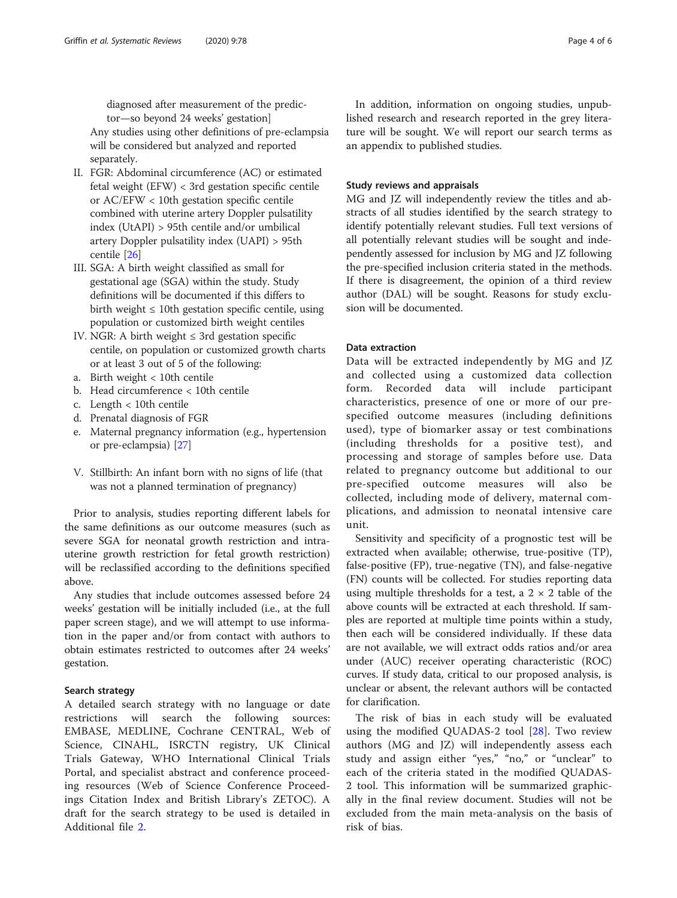diagnosed after measurement of the predictor—so beyond 24 weeks' gestation]

Any studies using other definitions of pre-eclampsia will be considered but analyzed and reported separately.

- II. FGR: Abdominal circumference (AC) or estimated fetal weight (EFW) < 3rd gestation specific centile or AC/EFW < 10th gestation specific centile combined with uterine artery Doppler pulsatility index (UtAPI) > 95th centile and/or umbilical artery Doppler pulsatility index (UAPI) > 95th centile [[26](#page-5-0)]
- III. SGA: A birth weight classified as small for gestational age (SGA) within the study. Study definitions will be documented if this differs to birth weight  $\leq 10$ th gestation specific centile, using population or customized birth weight centiles
- IV. NGR: A birth weight  $\leq$  3rd gestation specific centile, on population or customized growth charts or at least 3 out of 5 of the following:
- a. Birth weight < 10th centile
- b. Head circumference < 10th centile
- c. Length < 10th centile
- d. Prenatal diagnosis of FGR
- e. Maternal pregnancy information (e.g., hypertension or pre-eclampsia) [[27\]](#page-5-0)
- V. Stillbirth: An infant born with no signs of life (that was not a planned termination of pregnancy)

Prior to analysis, studies reporting different labels for the same definitions as our outcome measures (such as severe SGA for neonatal growth restriction and intrauterine growth restriction for fetal growth restriction) will be reclassified according to the definitions specified above.

Any studies that include outcomes assessed before 24 weeks' gestation will be initially included (i.e., at the full paper screen stage), and we will attempt to use information in the paper and/or from contact with authors to obtain estimates restricted to outcomes after 24 weeks' gestation.

## Search strategy

A detailed search strategy with no language or date restrictions will search the following sources: EMBASE, MEDLINE, Cochrane CENTRAL, Web of Science, CINAHL, ISRCTN registry, UK Clinical Trials Gateway, WHO International Clinical Trials Portal, and specialist abstract and conference proceeding resources (Web of Science Conference Proceedings Citation Index and British Library's ZETOC). A draft for the search strategy to be used is detailed in Additional file [2](#page-4-0).

In addition, information on ongoing studies, unpublished research and research reported in the grey literature will be sought. We will report our search terms as an appendix to published studies.

# Study reviews and appraisals

MG and JZ will independently review the titles and abstracts of all studies identified by the search strategy to identify potentially relevant studies. Full text versions of all potentially relevant studies will be sought and independently assessed for inclusion by MG and JZ following the pre-specified inclusion criteria stated in the methods. If there is disagreement, the opinion of a third review author (DAL) will be sought. Reasons for study exclusion will be documented.

# Data extraction

Data will be extracted independently by MG and JZ and collected using a customized data collection form. Recorded data will include participant characteristics, presence of one or more of our prespecified outcome measures (including definitions used), type of biomarker assay or test combinations (including thresholds for a positive test), and processing and storage of samples before use. Data related to pregnancy outcome but additional to our pre-specified outcome measures will also be collected, including mode of delivery, maternal complications, and admission to neonatal intensive care unit.

Sensitivity and specificity of a prognostic test will be extracted when available; otherwise, true-positive (TP), false-positive (FP), true-negative (TN), and false-negative (FN) counts will be collected. For studies reporting data using multiple thresholds for a test, a  $2 \times 2$  table of the above counts will be extracted at each threshold. If samples are reported at multiple time points within a study, then each will be considered individually. If these data are not available, we will extract odds ratios and/or area under (AUC) receiver operating characteristic (ROC) curves. If study data, critical to our proposed analysis, is unclear or absent, the relevant authors will be contacted for clarification.

The risk of bias in each study will be evaluated using the modified QUADAS-2 tool [[28\]](#page-5-0). Two review authors (MG and JZ) will independently assess each study and assign either "yes," "no," or "unclear" to each of the criteria stated in the modified QUADAS-2 tool. This information will be summarized graphically in the final review document. Studies will not be excluded from the main meta-analysis on the basis of risk of bias.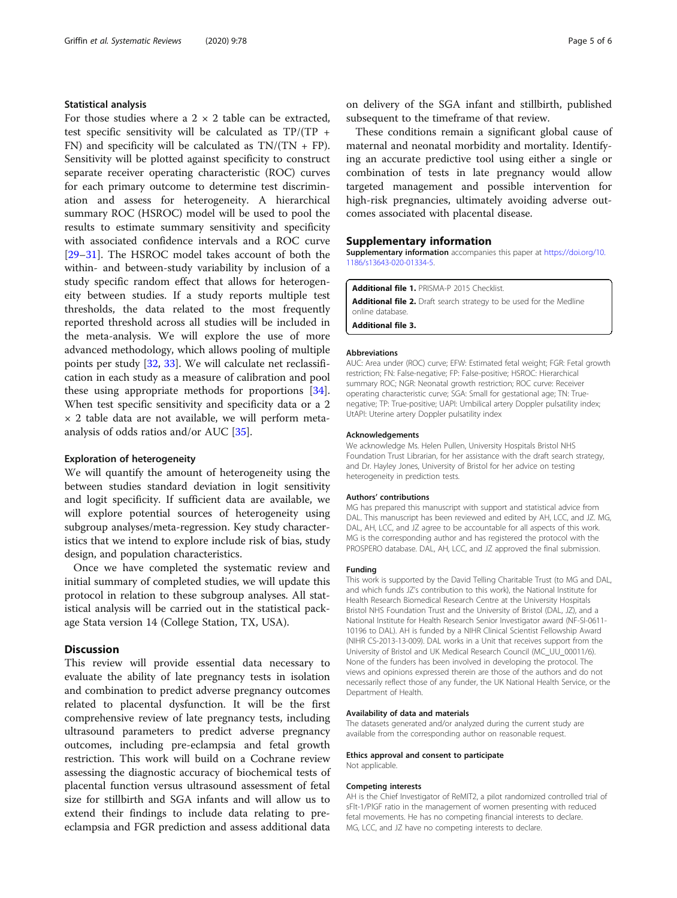# <span id="page-4-0"></span>Statistical analysis

For those studies where a  $2 \times 2$  table can be extracted, test specific sensitivity will be calculated as TP/(TP + FN) and specificity will be calculated as  $TN/(TN + FP)$ . Sensitivity will be plotted against specificity to construct separate receiver operating characteristic (ROC) curves for each primary outcome to determine test discrimination and assess for heterogeneity. A hierarchical summary ROC (HSROC) model will be used to pool the results to estimate summary sensitivity and specificity with associated confidence intervals and a ROC curve [[29](#page-5-0)–[31](#page-5-0)]. The HSROC model takes account of both the within- and between-study variability by inclusion of a study specific random effect that allows for heterogeneity between studies. If a study reports multiple test thresholds, the data related to the most frequently reported threshold across all studies will be included in the meta-analysis. We will explore the use of more advanced methodology, which allows pooling of multiple points per study [\[32](#page-5-0), [33](#page-5-0)]. We will calculate net reclassification in each study as a measure of calibration and pool these using appropriate methods for proportions [\[34](#page-5-0)]. When test specific sensitivity and specificity data or a 2  $\times$  2 table data are not available, we will perform metaanalysis of odds ratios and/or AUC [[35\]](#page-5-0).

## Exploration of heterogeneity

We will quantify the amount of heterogeneity using the between studies standard deviation in logit sensitivity and logit specificity. If sufficient data are available, we will explore potential sources of heterogeneity using subgroup analyses/meta-regression. Key study characteristics that we intend to explore include risk of bias, study design, and population characteristics.

Once we have completed the systematic review and initial summary of completed studies, we will update this protocol in relation to these subgroup analyses. All statistical analysis will be carried out in the statistical package Stata version 14 (College Station, TX, USA).

# **Discussion**

This review will provide essential data necessary to evaluate the ability of late pregnancy tests in isolation and combination to predict adverse pregnancy outcomes related to placental dysfunction. It will be the first comprehensive review of late pregnancy tests, including ultrasound parameters to predict adverse pregnancy outcomes, including pre-eclampsia and fetal growth restriction. This work will build on a Cochrane review assessing the diagnostic accuracy of biochemical tests of placental function versus ultrasound assessment of fetal size for stillbirth and SGA infants and will allow us to extend their findings to include data relating to preeclampsia and FGR prediction and assess additional data

on delivery of the SGA infant and stillbirth, published subsequent to the timeframe of that review.

These conditions remain a significant global cause of maternal and neonatal morbidity and mortality. Identifying an accurate predictive tool using either a single or combination of tests in late pregnancy would allow targeted management and possible intervention for high-risk pregnancies, ultimately avoiding adverse outcomes associated with placental disease.

## Supplementary information

Supplementary information accompanies this paper at [https://doi.org/10.](https://doi.org/10.1186/s13643-020-01334-5) [1186/s13643-020-01334-5](https://doi.org/10.1186/s13643-020-01334-5).

Additional file 1. PRISMA-P 2015 Checklist. Additional file 2. Draft search strategy to be used for the Medline online database.

Additional file 3.

### Abbreviations

AUC: Area under (ROC) curve; EFW: Estimated fetal weight; FGR: Fetal growth restriction; FN: False-negative; FP: False-positive; HSROC: Hierarchical summary ROC; NGR: Neonatal growth restriction; ROC curve: Receiver operating characteristic curve; SGA: Small for gestational age; TN: Truenegative; TP: True-positive; UAPI: Umbilical artery Doppler pulsatility index; UtAPI: Uterine artery Doppler pulsatility index

#### Acknowledgements

We acknowledge Ms. Helen Pullen, University Hospitals Bristol NHS Foundation Trust Librarian, for her assistance with the draft search strategy, and Dr. Hayley Jones, University of Bristol for her advice on testing heterogeneity in prediction tests.

#### Authors' contributions

MG has prepared this manuscript with support and statistical advice from DAL. This manuscript has been reviewed and edited by AH, LCC, and JZ. MG, DAL, AH, LCC, and JZ agree to be accountable for all aspects of this work. MG is the corresponding author and has registered the protocol with the PROSPERO database. DAL, AH, LCC, and JZ approved the final submission.

#### Funding

This work is supported by the David Telling Charitable Trust (to MG and DAL, and which funds JZ's contribution to this work), the National Institute for Health Research Biomedical Research Centre at the University Hospitals Bristol NHS Foundation Trust and the University of Bristol (DAL, JZ), and a National Institute for Health Research Senior Investigator award (NF-SI-0611- 10196 to DAL). AH is funded by a NIHR Clinical Scientist Fellowship Award (NIHR CS-2013-13-009). DAL works in a Unit that receives support from the University of Bristol and UK Medical Research Council (MC\_UU\_00011/6). None of the funders has been involved in developing the protocol. The views and opinions expressed therein are those of the authors and do not necessarily reflect those of any funder, the UK National Health Service, or the Department of Health.

#### Availability of data and materials

The datasets generated and/or analyzed during the current study are available from the corresponding author on reasonable request.

### Ethics approval and consent to participate

Not applicable.

#### Competing interests

AH is the Chief Investigator of ReMIT2, a pilot randomized controlled trial of sFlt-1/PlGF ratio in the management of women presenting with reduced fetal movements. He has no competing financial interests to declare. MG, LCC, and JZ have no competing interests to declare.